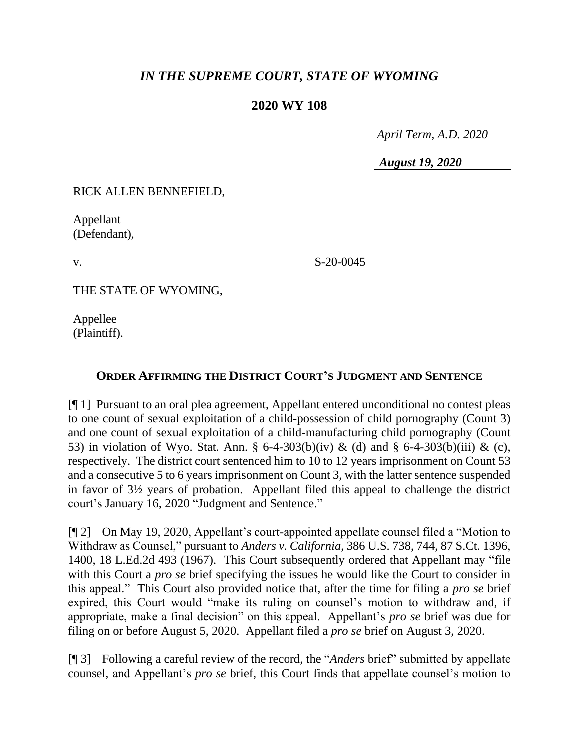## *IN THE SUPREME COURT, STATE OF WYOMING*

## **2020 WY 108**

 *April Term, A.D. 2020*

*August 19, 2020*

RICK ALLEN BENNEFIELD,

Appellant (Defendant),

v.

S-20-0045

THE STATE OF WYOMING,

Appellee (Plaintiff).

## **ORDER AFFIRMING THE DISTRICT COURT'S JUDGMENT AND SENTENCE**

[¶ 1] Pursuant to an oral plea agreement, Appellant entered unconditional no contest pleas to one count of sexual exploitation of a child-possession of child pornography (Count 3) and one count of sexual exploitation of a child-manufacturing child pornography (Count 53) in violation of Wyo. Stat. Ann. § 6-4-303(b)(iv) & (d) and § 6-4-303(b)(iii) & (c), respectively. The district court sentenced him to 10 to 12 years imprisonment on Count 53 and a consecutive 5 to 6 years imprisonment on Count 3, with the latter sentence suspended in favor of 3½ years of probation. Appellant filed this appeal to challenge the district court's January 16, 2020 "Judgment and Sentence."

[¶ 2] On May 19, 2020, Appellant's court-appointed appellate counsel filed a "Motion to Withdraw as Counsel," pursuant to *Anders v. California*, 386 U.S. 738, 744, 87 S.Ct. 1396, 1400, 18 L.Ed.2d 493 (1967). This Court subsequently ordered that Appellant may "file with this Court a *pro se* brief specifying the issues he would like the Court to consider in this appeal." This Court also provided notice that, after the time for filing a *pro se* brief expired, this Court would "make its ruling on counsel's motion to withdraw and, if appropriate, make a final decision" on this appeal. Appellant's *pro se* brief was due for filing on or before August 5, 2020. Appellant filed a *pro se* brief on August 3, 2020.

[¶ 3] Following a careful review of the record, the "*Anders* brief" submitted by appellate counsel, and Appellant's *pro se* brief, this Court finds that appellate counsel's motion to